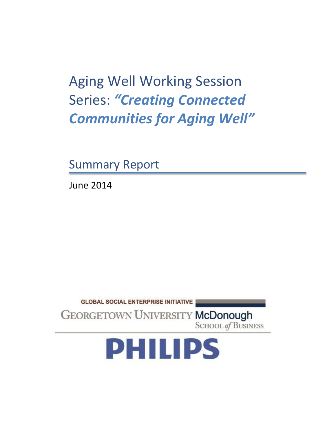Aging Well Working Session Series: *"Creating Connected Communities for Aging Well"*

Summary Report

June 2014



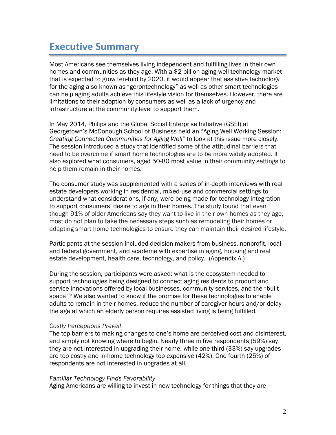# **Executive Summary**

Most Americans see themselves living independent and fulfilling lives in their own homes and communities as they age. With a \$2 billion aging well technology market that is expected to grow ten-fold by 2020, it would appear that assistive technology for the aging also known as "gerontechnology" as well as other smart technologies can help aging adults achieve this lifestyle vision for themselves. However, there are limitations to their adoption by consumers as well as a lack of urgency and infrastructure at the community level to support them.

In May 2014, Philips and the Global Social Enterprise Initiative (GSEI) at Georgetown's McDonough School of Business held an "Aging Well Working Session: *Creating Connected Communities for Aging Well*" to look at this issue more closely. The session introduced a study that identified some of the attitudinal barriers that need to be overcome if smart home technologies are to be more widely adopted. It also explored what consumers, aged 50-80 most value in their community settings to help them remain in their homes.

The consumer study was supplemented with a series of in-depth interviews with real estate developers working in residential, mixed-use and commercial settings to understand what considerations, if any, were being made for technology integration to support consumers' desire to age in their homes. The study found that even though 91% of older Americans say they want to live in their own homes as they age, most do not plan to take the necessary steps such as remodeling their homes or adapting smart home technologies to ensure they can maintain their desired lifestyle.

Participants at the session included decision makers from business, nonprofit, local and federal government, and academe with expertise in aging, housing and real estate development, health care, technology, and policy. (Appendix A.)

During the session, participants were asked: what is the ecosystem needed to support technologies being designed to connect aging residents to product and service innovations offered by local businesses, community services, and the "built space"? We also wanted to know if the promise for these technologies to enable adults to remain in their homes, reduce the number of caregiver hours and/or delay the age at which an elderly person requires assisted living is being fulfilled.

#### *Costly Perceptions Prevail*

The top barriers to making changes to one's home are perceived cost and disinterest, and simply not knowing where to begin. Nearly three in five respondents (59%) say they are not interested in upgrading their home, while one-third (33%) say upgrades are too costly and in-home technology too expensive (42%). One fourth (25%) of respondents are not interested in upgrades at all.

#### *Familiar Technology Finds Favorability*

Aging Americans are willing to invest in new technology for things that they are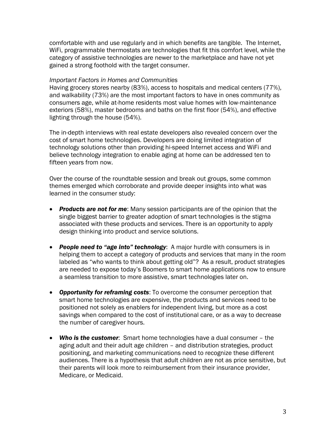comfortable with and use regularly and in which benefits are tangible. The Internet, WiFi, programmable thermostats are technologies that fit this comfort level, while the category of assistive technologies are newer to the marketplace and have not yet gained a strong foothold with the target consumer.

#### *Important Factors in Homes and Communities*

Having grocery stores nearby (83%), access to hospitals and medical centers (77%), and walkability (73%) are the most important factors to have in ones community as consumers age, while at-home residents most value homes with low-maintenance exteriors (58%), master bedrooms and baths on the first floor (54%), and effective lighting through the house (54%).

The in-depth interviews with real estate developers also revealed concern over the cost of smart home technologies. Developers are doing limited integration of technology solutions other than providing hi-speed Internet access and WiFi and believe technology integration to enable aging at home can be addressed ten to fifteen years from now.

Over the course of the roundtable session and break out groups, some common themes emerged which corroborate and provide deeper insights into what was learned in the consumer study:

- *Products are not for me*: Many session participants are of the opinion that the single biggest barrier to greater adoption of smart technologies is the stigma associated with these products and services. There is an opportunity to apply design thinking into product and service solutions.
- *People need to "age into" technology*: A major hurdle with consumers is in helping them to accept a category of products and services that many in the room labeled as "who wants to think about getting old"? As a result, product strategies are needed to expose today's Boomers to smart home applications now to ensure a seamless transition to more assistive, smart technologies later on.
- *Opportunity for reframing costs*: To overcome the consumer perception that smart home technologies are expensive, the products and services need to be positioned not solely as enablers for independent living, but more as a cost savings when compared to the cost of institutional care, or as a way to decrease the number of caregiver hours.
- *Who is the customer*: Smart home technologies have a dual consumer the aging adult and their adult age children – and distribution strategies, product positioning, and marketing communications need to recognize these different audiences. There is a hypothesis that adult children are not as price sensitive, but their parents will look more to reimbursement from their insurance provider, Medicare, or Medicaid.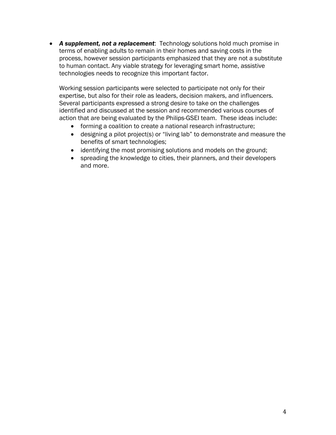*A supplement, not a replacement*: Technology solutions hold much promise in terms of enabling adults to remain in their homes and saving costs in the process, however session participants emphasized that they are not a substitute to human contact. Any viable strategy for leveraging smart home, assistive technologies needs to recognize this important factor.

Working session participants were selected to participate not only for their expertise, but also for their role as leaders, decision makers, and influencers. Several participants expressed a strong desire to take on the challenges identified and discussed at the session and recommended various courses of action that are being evaluated by the Philips-GSEI team. These ideas include:

- forming a coalition to create a national research infrastructure;
- designing a pilot project(s) or "living lab" to demonstrate and measure the benefits of smart technologies;
- identifying the most promising solutions and models on the ground;
- spreading the knowledge to cities, their planners, and their developers and more.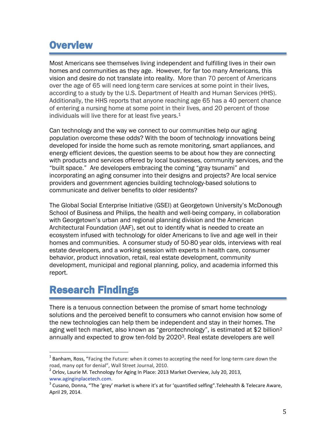# **Overview**

Most Americans see themselves living independent and fulfilling lives in their own homes and communities as they age. However, for far too many Americans, this vision and desire do not translate into reality. More than 70 percent of Americans over the age of 65 will need long-term care services at some point in their lives, according to a study by the U.S. Department of Health and Human Services (HHS). Additionally, the HHS reports that anyone reaching age 65 has a 40 percent chance of entering a nursing home at some point in their lives, and 20 percent of those individuals will live there for at least five years.<sup>1</sup>

Can technology and the way we connect to our communities help our aging population overcome these odds? With the boom of technology innovations being developed for inside the home such as remote monitoring, smart appliances, and energy efficient devices, the question seems to be about how they are connecting with products and services offered by local businesses, community services, and the "built space." Are developers embracing the coming "gray tsunami" and incorporating an aging consumer into their designs and projects? Are local service providers and government agencies building technology-based solutions to communicate and deliver benefits to older residents?

The Global Social Enterprise Initiative (GSEI) at Georgetown University's McDonough School of Business and Philips, the health and well-being company, in collaboration with Georgetown's urban and regional planning division and the American Architectural Foundation (AAF), set out to identify what is needed to create an ecosystem infused with technology for older Americans to live and age well in their homes and communities. A consumer study of 50-80 year olds, interviews with real estate developers, and a working session with experts in health care, consumer behavior, product innovation, retail, real estate development, community development, municipal and regional planning, policy, and academia informed this report.

# Research Findings

l

There is a tenuous connection between the promise of smart home technology solutions and the perceived benefit to consumers who cannot envision how some of the new technologies can help them be independent and stay in their homes. The aging well tech market, also known as "gerontechnology", is estimated at \$2 billion<sup>2</sup> annually and expected to grow ten-fold by 20203. Real estate developers are well

 $^{1}$  Banham, Ross, "Facing the Future: when it comes to accepting the need for long-term care down the road, many opt for denial", Wall Street Journal, 2010.

<sup>&</sup>lt;sup>2</sup> Orlov, Laurie M. Technology for Aging In Place: 2013 Market Overview, July 20, 2013, www.aginginplacetech.com.

 $^3$  Cusano, Donna, "The 'grey' market is where it's at for 'quantified selfing".Telehealth & Telecare Aware, April 29, 2014.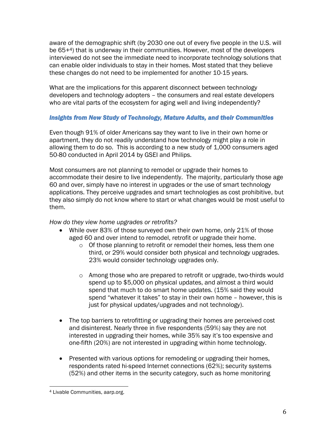aware of the demographic shift (by 2030 one out of every five people in the U.S. will be 65+4) that is underway in their communities. However, most of the developers interviewed do not see the immediate need to incorporate technology solutions that can enable older individuals to stay in their homes. Most stated that they believe these changes do not need to be implemented for another 10-15 years.

What are the implications for this apparent disconnect between technology developers and technology adopters – the consumers and real estate developers who are vital parts of the ecosystem for aging well and living independently?

## *Insights from New Study of Technology, Mature Adults, and their Communities*

Even though 91% of older Americans say they want to live in their own home or apartment, they do not readily understand how technology might play a role in allowing them to do so. This is according to a new study of 1,000 consumers aged 50-80 conducted in April 2014 by GSEI and Philips.

Most consumers are not planning to remodel or upgrade their homes to accommodate their desire to live independently. The majority, particularly those age 60 and over, simply have no interest in upgrades or the use of smart technology applications. They perceive upgrades and smart technologies as cost prohibitive, but they also simply do not know where to start or what changes would be most useful to them.

# *How do they view home upgrades or retrofits?*

- While over 83% of those surveyed own their own home, only 21% of those aged 60 and over intend to remodel, retrofit or upgrade their home.
	- o Of those planning to retrofit or remodel their homes, less them one third, or 29% would consider both physical and technology upgrades. 23% would consider technology upgrades only.
	- o Among those who are prepared to retrofit or upgrade, two-thirds would spend up to \$5,000 on physical updates, and almost a third would spend that much to do smart home updates. (15% said they would spend "whatever it takes" to stay in their own home – however, this is just for physical updates/upgrades and not technology).
- The top barriers to retrofitting or upgrading their homes are perceived cost and disinterest. Nearly three in five respondents (59%) say they are not interested in upgrading their homes, while 35% say it's too expensive and one-fifth (20%) are not interested in upgrading within home technology.
- Presented with various options for remodeling or upgrading their homes, respondents rated hi-speed Internet connections (62%); security systems (52%) and other items in the security category, such as home monitoring

l <sup>4</sup> Livable Communities, aarp.org.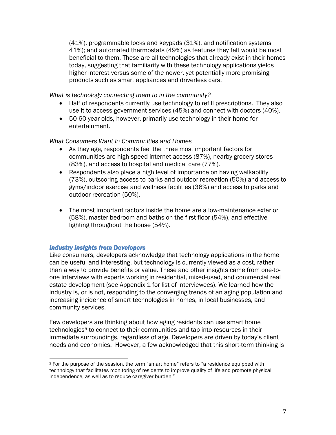(41%), programmable locks and keypads (31%), and notification systems 41%); and automated thermostats (49%) as features they felt would be most beneficial to them. These are all technologies that already exist in their homes today, suggesting that familiarity with these technology applications yields higher interest versus some of the newer, yet potentially more promising products such as smart appliances and driverless cars.

*What is technology connecting them to in the community?*

- Half of respondents currently use technology to refill prescriptions. They also use it to access government services (45%) and connect with doctors (40%).
- 50-60 year olds, however, primarily use technology in their home for entertainment.

### *What Consumers Want in Communities and Homes*

- As they age, respondents feel the three most important factors for communities are high-speed internet access (87%), nearby grocery stores (83%), and access to hospital and medical care (77%).
- Respondents also place a high level of importance on having walkability (73%), outscoring access to parks and outdoor recreation (50%) and access to gyms/indoor exercise and wellness facilities (36%) and access to parks and outdoor recreation (50%).
- The most important factors inside the home are a low-maintenance exterior (58%), master bedroom and baths on the first floor (54%), and effective lighting throughout the house (54%).

### *Industry Insights from Developers*

Like consumers, developers acknowledge that technology applications in the home can be useful and interesting, but technology is currently viewed as a cost, rather than a way to provide benefits or value. These and other insights came from one-toone interviews with experts working in residential, mixed-used, and commercial real estate development (see Appendix 1 for list of interviewees). We learned how the industry is, or is not, responding to the converging trends of an aging population and increasing incidence of smart technologies in homes, in local businesses, and community services.

Few developers are thinking about how aging residents can use smart home technologies<sup>5</sup> to connect to their communities and tap into resources in their immediate surroundings, regardless of age. Developers are driven by today's client needs and economics. However, a few acknowledged that this short-term thinking is

 $\overline{a}$ <sup>5</sup> For the purpose of the session, the term "smart home" refers to "a residence equipped with technology that facilitates monitoring of residents to improve quality of life and promote physical independence, as well as to reduce caregiver burden."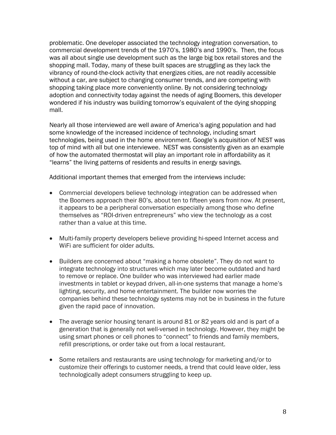problematic. One developer associated the technology integration conversation, to commercial development trends of the 1970's, 1980's and 1990's. Then, the focus was all about single use development such as the large big box retail stores and the shopping mall. Today, many of these built spaces are struggling as they lack the vibrancy of round-the-clock activity that energizes cities, are not readily accessible without a car, are subject to changing consumer trends, and are competing with shopping taking place more conveniently online. By not considering technology adoption and connectivity today against the needs of aging Boomers, this developer wondered if his industry was building tomorrow's equivalent of the dying shopping mall.

Nearly all those interviewed are well aware of America's aging population and had some knowledge of the increased incidence of technology, including smart technologies, being used in the home environment. Google's acquisition of NEST was top of mind with all but one interviewee. NEST was consistently given as an example of how the automated thermostat will play an important role in affordability as it "learns" the living patterns of residents and results in energy savings.

Additional important themes that emerged from the interviews include:

- Commercial developers believe technology integration can be addressed when the Boomers approach their 80's, about ten to fifteen years from now. At present, it appears to be a peripheral conversation especially among those who define themselves as "ROI-driven entrepreneurs" who view the technology as a cost rather than a value at this time.
- Multi-family property developers believe providing hi-speed Internet access and WiFi are sufficient for older adults.
- Builders are concerned about "making a home obsolete". They do not want to integrate technology into structures which may later become outdated and hard to remove or replace. One builder who was interviewed had earlier made investments in tablet or keypad driven, all-in-one systems that manage a home's lighting, security, and home entertainment. The builder now worries the companies behind these technology systems may not be in business in the future given the rapid pace of innovation.
- The average senior housing tenant is around 81 or 82 years old and is part of a generation that is generally not well-versed in technology. However, they might be using smart phones or cell phones to "connect" to friends and family members, refill prescriptions, or order take out from a local restaurant.
- Some retailers and restaurants are using technology for marketing and/or to customize their offerings to customer needs, a trend that could leave older, less technologically adept consumers struggling to keep up.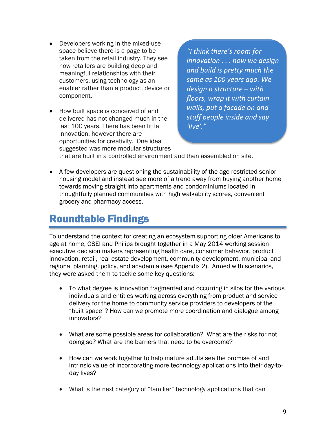- Developers working in the mixed-use space believe there is a page to be taken from the retail industry. They see how retailers are building deep and meaningful relationships with their customers, using technology as an enabler rather than a product, device or component.
- How built space is conceived of and delivered has not changed much in the last 100 years. There has been little innovation, however there are opportunities for creativity. One idea suggested was more modular structures

*"I think there's room for innovation . . . how we design and build is pretty much the same as 100 years ago. We design a structure – with floors, wrap it with curtain walls, put a façade on and stuff people inside and say 'live'."*

that are built in a controlled environment and then assembled on site.

 A few developers are questioning the sustainability of the age-restricted senior housing model and instead see more of a trend away from buying another home towards moving straight into apartments and condominiums located in thoughtfully planned communities with high walkability scores, convenient grocery and pharmacy access,

# Roundtable Findings

To understand the context for creating an ecosystem supporting older Americans to age at home, GSEI and Philips brought together in a May 2014 working session executive decision makers representing health care, consumer behavior, product innovation, retail, real estate development, community development, municipal and regional planning, policy, and academia (see Appendix 2). Armed with scenarios, they were asked them to tackle some key questions:

- To what degree is innovation fragmented and occurring in silos for the various individuals and entities working across everything from product and service delivery for the home to community service providers to developers of the "built space"? How can we promote more coordination and dialogue among innovators?
- What are some possible areas for collaboration? What are the risks for not doing so? What are the barriers that need to be overcome?
- How can we work together to help mature adults see the promise of and intrinsic value of incorporating more technology applications into their day-today lives?
- What is the next category of "familiar" technology applications that can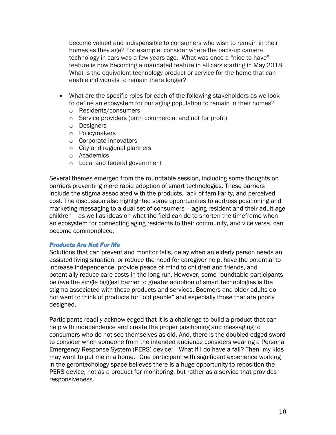become valued and indispensible to consumers who wish to remain in their homes as they age? For example, consider where the back-up camera technology in cars was a few years ago. What was once a "nice to have" feature is now becoming a mandated feature in all cars starting in May 2018. What is the equivalent technology product or service for the home that can enable individuals to remain there longer?

- What are the specific roles for each of the following stakeholders as we look to define an ecosystem for our aging population to remain in their homes?
	- o Residents/consumers
	- o Service providers (both commercial and not for profit)
	- o Designers
	- o Policymakers
	- o Corporate innovators
	- o City and regional planners
	- o Academics
	- o Local and federal government

Several themes emerged from the roundtable session, including some thoughts on barriers preventing more rapid adoption of smart technologies. These barriers include the stigma associated with the products, lack of familiarity, and perceived cost. The discussion also highlighted some opportunities to address positioning and marketing messaging to a dual set of consumers – aging resident and their adult-age children -- as well as ideas on what the field can do to shorten the timeframe when an ecosystem for connecting aging residents to their community, and vice versa, can become commonplace.

#### *Products Are Not For Me*

Solutions that can prevent and monitor falls, delay when an elderly person needs an assisted living situation, or reduce the need for caregiver help, have the potential to increase independence, provide peace of mind to children and friends, and potentially reduce care costs in the long run. However, some roundtable participants believe the single biggest barrier to greater adoption of smart technologies is the stigma associated with these products and services. Boomers and older adults do not want to think of products for "old people" and especially those that are poorly designed.

Participants readily acknowledged that it is a challenge to build a product that can help with independence and create the proper positioning and messaging to consumers who do not see themselves as old. And, there is the doubled-edged sword to consider when someone from the intended audience considers wearing a Personal Emergency Response System (PERS) device: "What if I do have a fall? Then, my kids may want to put me in a home." One participant with significant experience working in the gerontechology space believes there is a huge opportunity to reposition the PERS device, not as a product for monitoring, but rather as a service that provides responsiveness.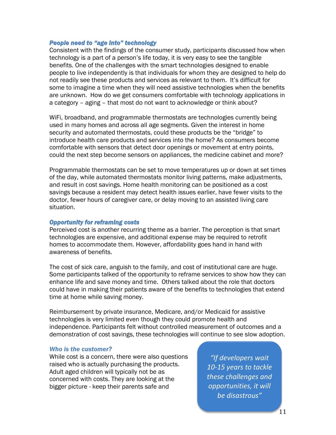#### *People need to "age into" technology*

Consistent with the findings of the consumer study, participants discussed how when technology is a part of a person's life today, it is very easy to see the tangible benefits. One of the challenges with the smart technologies designed to enable people to live independently is that individuals for whom they are designed to help do not readily see these products and services as relevant to them. It's difficult for some to imagine a time when they will need assistive technologies when the benefits are unknown. How do we get consumers comfortable with technology applications in a category – aging – that most do not want to acknowledge or think about?

WiFi, broadband, and programmable thermostats are technologies currently being used in many homes and across all age segments. Given the interest in home security and automated thermostats, could these products be the "bridge" to introduce health care products and services into the home? As consumers become comfortable with sensors that detect door openings or movement at entry points, could the next step become sensors on appliances, the medicine cabinet and more?

Programmable thermostats can be set to move temperatures up or down at set times of the day, while automated thermostats monitor living patterns, make adjustments, and result in cost savings. Home health monitoring can be positioned as a cost savings because a resident may detect health issues earlier, have fewer visits to the doctor, fewer hours of caregiver care, or delay moving to an assisted living care situation.

### *Opportunity for reframing costs*

Perceived cost is another recurring theme as a barrier. The perception is that smart technologies are expensive, and additional expense may be required to retrofit homes to accommodate them. However, affordability goes hand in hand with awareness of benefits.

The cost of sick care, anguish to the family, and cost of institutional care are huge. Some participants talked of the opportunity to reframe services to show how they can enhance life and save money and time. Others talked about the role that doctors could have in making their patients aware of the benefits to technologies that extend time at home while saving money.

Reimbursement by private insurance, Medicare, and/or Medicaid for assistive technologies is very limited even though they could promote health and independence. Participants felt without controlled measurement of outcomes and a demonstration of cost savings, these technologies will continue to see slow adoption.

#### *Who is the customer?*

While cost is a concern, there were also questions raised who is actually purchasing the products. Adult aged children will typically not be as concerned with costs. They are looking at the bigger picture - keep their parents safe and

*"If developers wait 10-15 years to tackle these challenges and opportunities, it will be disastrous"*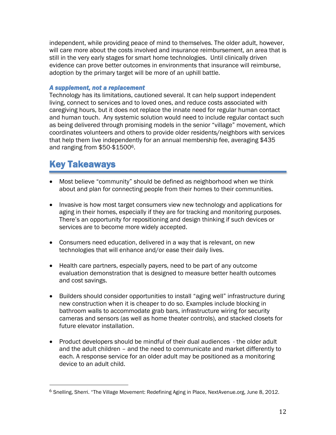independent, while providing peace of mind to themselves. The older adult, however, will care more about the costs involved and insurance reimbursement, an area that is still in the very early stages for smart home technologies. Until clinically driven evidence can prove better outcomes in environments that insurance will reimburse, adoption by the primary target will be more of an uphill battle.

## *A supplement, not a replacement*

Technology has its limitations, cautioned several. It can help support independent living, connect to services and to loved ones, and reduce costs associated with caregiving hours, but it does not replace the innate need for regular human contact and human touch. Any systemic solution would need to include regular contact such as being delivered through promising models in the senior "village" movement, which coordinates volunteers and others to provide older residents/neighbors with services that help them live independently for an annual membership fee, averaging \$435 and ranging from \$50-\$15006.

# Key Takeaways

l

- Most believe "community" should be defined as neighborhood when we think about and plan for connecting people from their homes to their communities.
- Invasive is how most target consumers view new technology and applications for aging in their homes, especially if they are for tracking and monitoring purposes. There's an opportunity for repositioning and design thinking if such devices or services are to become more widely accepted.
- Consumers need education, delivered in a way that is relevant, on new technologies that will enhance and/or ease their daily lives.
- Health care partners, especially payers, need to be part of any outcome evaluation demonstration that is designed to measure better health outcomes and cost savings.
- Builders should consider opportunities to install "aging well" infrastructure during new construction when it is cheaper to do so. Examples include blocking in bathroom walls to accommodate grab bars, infrastructure wiring for security cameras and sensors (as well as home theater controls), and stacked closets for future elevator installation.
- Product developers should be mindful of their dual audiences the older adult and the adult children – and the need to communicate and market differently to each. A response service for an older adult may be positioned as a monitoring device to an adult child.

<sup>6</sup> Snelling, Sherri. "The Village Movement: Redefining Aging in Place, NextAvenue.org, June 8, 2012.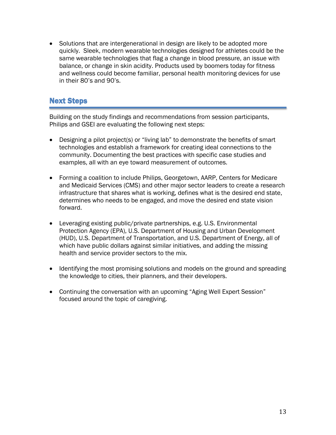• Solutions that are intergenerational in design are likely to be adopted more quickly. Sleek, modern wearable technologies designed for athletes could be the same wearable technologies that flag a change in blood pressure, an issue with balance, or change in skin acidity. Products used by boomers today for fitness and wellness could become familiar, personal health monitoring devices for use in their 80's and 90's.

# Next Steps

Building on the study findings and recommendations from session participants, Philips and GSEI are evaluating the following next steps:

- Designing a pilot project(s) or "living lab" to demonstrate the benefits of smart technologies and establish a framework for creating ideal connections to the community. Documenting the best practices with specific case studies and examples, all with an eye toward measurement of outcomes.
- Forming a coalition to include Philips, Georgetown, AARP, Centers for Medicare and Medicaid Services (CMS) and other major sector leaders to create a research infrastructure that shares what is working, defines what is the desired end state, determines who needs to be engaged, and move the desired end state vision forward.
- Leveraging existing public/private partnerships, e.g. U.S. Environmental Protection Agency (EPA), U.S. Department of Housing and Urban Development (HUD), U.S. Department of Transportation, and U.S. Department of Energy, all of which have public dollars against similar initiatives, and adding the missing health and service provider sectors to the mix.
- Identifying the most promising solutions and models on the ground and spreading the knowledge to cities, their planners, and their developers.
- Continuing the conversation with an upcoming "Aging Well Expert Session" focused around the topic of caregiving.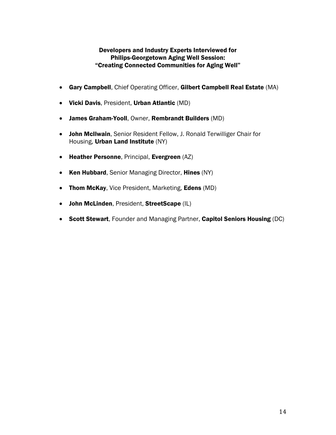# Developers and Industry Experts Interviewed for Philips-Georgetown Aging Well Session: "Creating Connected Communities for Aging Well"

- Gary Campbell, Chief Operating Officer, Gilbert Campbell Real Estate (MA)
- Vicki Davis, President, Urban Atlantic (MD)
- James Graham-Yooll, Owner, Rembrandt Builders (MD)
- John McIlwain, Senior Resident Fellow, J. Ronald Terwilliger Chair for Housing, Urban Land Institute (NY)
- Heather Personne, Principal, Evergreen (AZ)
- Ken Hubbard, Senior Managing Director, Hines (NY)
- Thom McKay, Vice President, Marketing, Edens (MD)
- John McLinden, President, StreetScape (IL)
- Scott Stewart, Founder and Managing Partner, Capitol Seniors Housing (DC)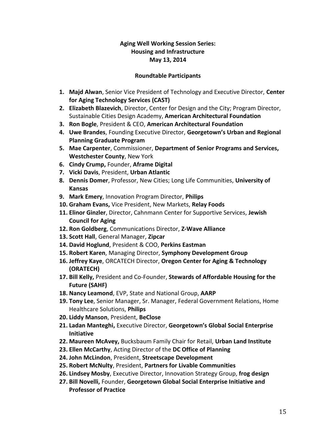# **Aging Well Working Session Series: Housing and Infrastructure May 13, 2014**

## **Roundtable Participants**

- **1. Majd Alwan**, Senior Vice President of Technology and Executive Director, **Center for Aging Technology Services (CAST)**
- **2. Elizabeth Blazevich**, Director, Center for Design and the City; Program Director, Sustainable Cities Design Academy, **American Architectural Foundation**
- **3. Ron Bogle**, President & CEO, **American Architectural Foundation**
- **4. Uwe Brandes**, Founding Executive Director, **Georgetown's Urban and Regional Planning Graduate Program**
- **5. Mae Carpenter**, Commissioner, **Department of Senior Programs and Services, Westchester County**, New York
- **6. Cindy Crump,** Founder, **Aframe Digital**
- **7. Vicki Davis**, President, **Urban Atlantic**
- **8. Dennis Domer**, Professor, New Cities; Long Life Communities, **University of Kansas**
- **9. Mark Emery**, Innovation Program Director, **Philips**
- **10. Graham Evans,** Vice President, New Markets, **Relay Foods**
- **11. Elinor Ginzler**, Director, Cahnmann Center for Supportive Services, **Jewish Council for Aging**
- **12. Ron Goldberg**, Communications Director, **Z-Wave Alliance**
- **13. Scott Hall**, General Manager, **Zipcar**
- **14. David Hoglund**, President & COO, **Perkins Eastman**
- **15. Robert Karen**, Managing Director, **Symphony Development Group**
- **16. Jeffrey Kaye**, ORCATECH Director, **Oregon Center for Aging & Technology (ORATECH)**
- **17. Bill Kelly,** President and Co-Founder, **Stewards of Affordable Housing for the Future (SAHF)**
- **18. Nancy Leamond**, EVP, State and National Group, **AARP**
- **19. Tony Lee**, Senior Manager, Sr. Manager, Federal Government Relations, Home Healthcare Solutions, **Philips**
- **20. Liddy Manson**, President, **BeClose**
- **21. Ladan Manteghi,** Executive Director, **Georgetown's Global Social Enterprise Initiative**
- **22. Maureen McAvey,** Bucksbaum Family Chair for Retail, **Urban Land Institute**
- **23. Ellen McCarthy**, Acting Director of the **DC Office of Planning**
- **24. John McLindon**, President, **Streetscape Development**
- **25. Robert McNulty**, President, **Partners for Livable Communities**
- **26. Lindsey Mosby**, Executive Director, Innovation Strategy Group, **frog design**
- **27. Bill Novelli,** Founder, **Georgetown Global Social Enterprise Initiative and Professor of Practice**